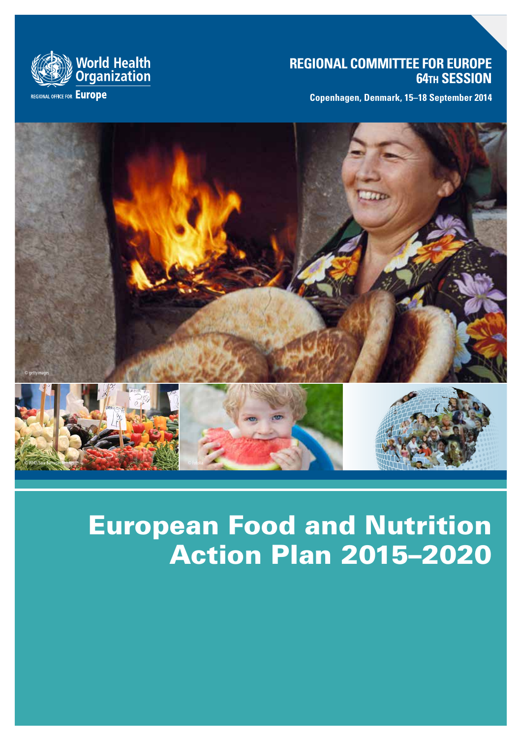# **REGIONAL COMMITTEE FOR EUROPE 64th SESSION**

**Copenhagen, Denmark, 15–18 September 2014**



**REGIONAL OFFICE FOR Europe** 



# European Food and Nutrition Action Plan 2015–2020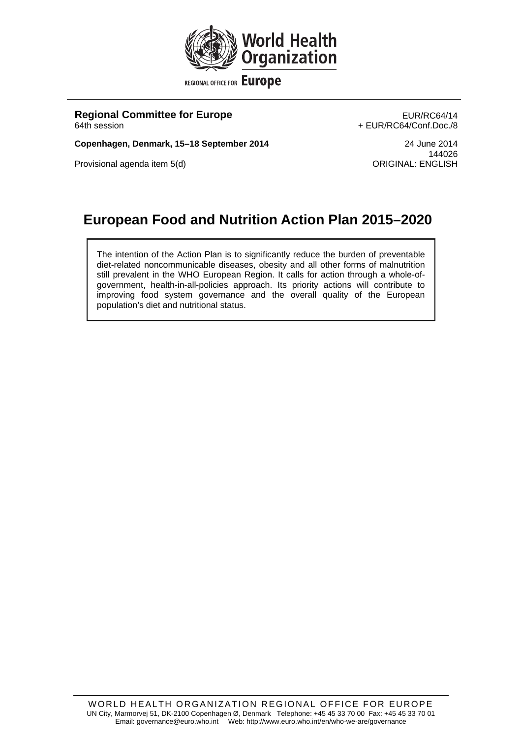

**REGIONAL OFFICE FOR Europe** 

**Regional Committee for Europe EUR/RC64/14** 64th session + EUR/RC64/Conf.Doc./8

**Copenhagen, Denmark, 15–18 September 2014** 24 June 2014

Provisional agenda item 5(d)

144026<br>ORIGINAL: ENGLISH

# **European Food and Nutrition Action Plan 2015–2020**

The intention of the Action Plan is to significantly reduce the burden of preventable diet-related noncommunicable diseases, obesity and all other forms of malnutrition still prevalent in the WHO European Region. It calls for action through a whole-ofgovernment, health-in-all-policies approach. Its priority actions will contribute to improving food system governance and the overall quality of the European population's diet and nutritional status.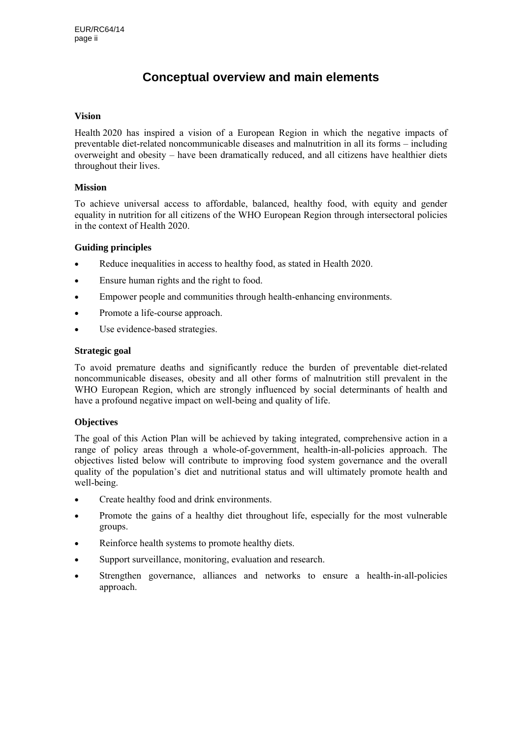# **Conceptual overview and main elements**

#### **Vision**

Health 2020 has inspired a vision of a European Region in which the negative impacts of preventable diet-related noncommunicable diseases and malnutrition in all its forms – including overweight and obesity – have been dramatically reduced, and all citizens have healthier diets throughout their lives.

#### **Mission**

To achieve universal access to affordable, balanced, healthy food, with equity and gender equality in nutrition for all citizens of the WHO European Region through intersectoral policies in the context of Health 2020.

#### **Guiding principles**

- Reduce inequalities in access to healthy food, as stated in Health 2020.
- Ensure human rights and the right to food.
- Empower people and communities through health-enhancing environments.
- Promote a life-course approach.
- Use evidence-based strategies.

#### **Strategic goal**

To avoid premature deaths and significantly reduce the burden of preventable diet-related noncommunicable diseases, obesity and all other forms of malnutrition still prevalent in the WHO European Region, which are strongly influenced by social determinants of health and have a profound negative impact on well-being and quality of life.

#### **Objectives**

The goal of this Action Plan will be achieved by taking integrated, comprehensive action in a range of policy areas through a whole-of-government, health-in-all-policies approach. The objectives listed below will contribute to improving food system governance and the overall quality of the population's diet and nutritional status and will ultimately promote health and well-being.

- Create healthy food and drink environments.
- Promote the gains of a healthy diet throughout life, especially for the most vulnerable groups.
- Reinforce health systems to promote healthy diets.
- Support surveillance, monitoring, evaluation and research.
- Strengthen governance, alliances and networks to ensure a health-in-all-policies approach.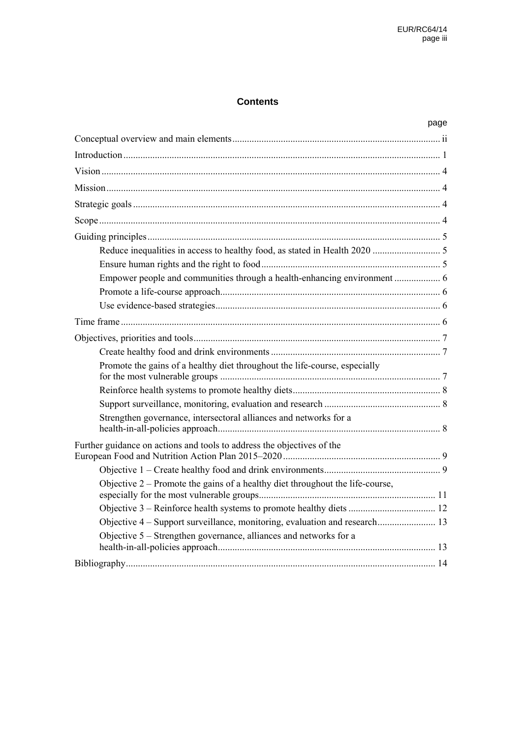#### **Contents**

|                                                                                 | page |
|---------------------------------------------------------------------------------|------|
|                                                                                 |      |
|                                                                                 |      |
|                                                                                 |      |
|                                                                                 |      |
|                                                                                 |      |
|                                                                                 |      |
|                                                                                 |      |
|                                                                                 |      |
|                                                                                 |      |
|                                                                                 |      |
|                                                                                 |      |
|                                                                                 |      |
|                                                                                 |      |
|                                                                                 |      |
|                                                                                 |      |
| Promote the gains of a healthy diet throughout the life-course, especially      |      |
|                                                                                 |      |
|                                                                                 |      |
| Strengthen governance, intersectoral alliances and networks for a               |      |
| Further guidance on actions and tools to address the objectives of the          |      |
|                                                                                 |      |
| Objective $2$ – Promote the gains of a healthy diet throughout the life-course, |      |
|                                                                                 |      |
|                                                                                 |      |
| Objective 5 - Strengthen governance, alliances and networks for a               |      |
|                                                                                 |      |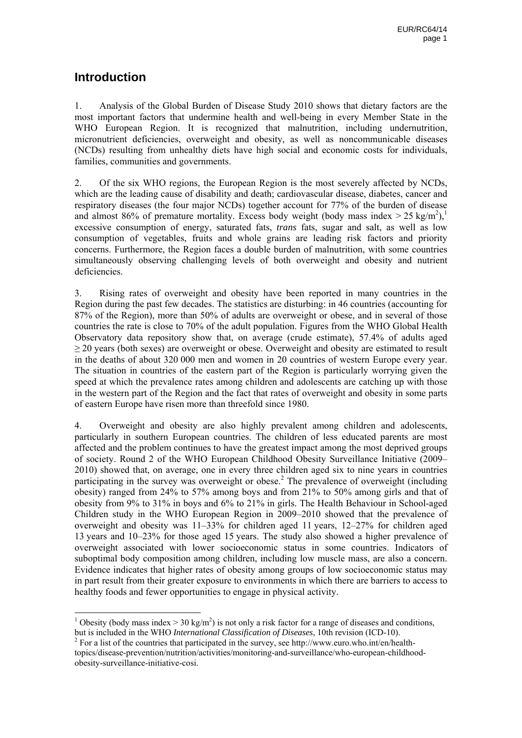## **Introduction**

1

1. Analysis of the Global Burden of Disease Study 2010 shows that dietary factors are the most important factors that undermine health and well-being in every Member State in the WHO European Region. It is recognized that malnutrition, including undernutrition, micronutrient deficiencies, overweight and obesity, as well as noncommunicable diseases (NCDs) resulting from unhealthy diets have high social and economic costs for individuals, families, communities and governments.

2. Of the six WHO regions, the European Region is the most severely affected by NCDs, which are the leading cause of disability and death; cardiovascular disease, diabetes, cancer and respiratory diseases (the four major NCDs) together account for 77% of the burden of disease and almost 86% of premature mortality. Excess body weight (body mass index  $> 25 \text{ kg/m}^2$ ),<sup>1</sup> excessive consumption of energy, saturated fats, *trans* fats, sugar and salt, as well as low consumption of vegetables, fruits and whole grains are leading risk factors and priority concerns. Furthermore, the Region faces a double burden of malnutrition, with some countries simultaneously observing challenging levels of both overweight and obesity and nutrient deficiencies.

3. Rising rates of overweight and obesity have been reported in many countries in the Region during the past few decades. The statistics are disturbing: in 46 countries (accounting for 87% of the Region), more than 50% of adults are overweight or obese, and in several of those countries the rate is close to 70% of the adult population. Figures from the WHO Global Health Observatory data repository show that, on average (crude estimate), 57.4% of adults aged  $\geq$  20 years (both sexes) are overweight or obese. Overweight and obesity are estimated to result in the deaths of about 320 000 men and women in 20 countries of western Europe every year. The situation in countries of the eastern part of the Region is particularly worrying given the speed at which the prevalence rates among children and adolescents are catching up with those in the western part of the Region and the fact that rates of overweight and obesity in some parts of eastern Europe have risen more than threefold since 1980.

4. Overweight and obesity are also highly prevalent among children and adolescents, particularly in southern European countries. The children of less educated parents are most affected and the problem continues to have the greatest impact among the most deprived groups of society. Round 2 of the WHO European Childhood Obesity Surveillance Initiative (2009– 2010) showed that, on average, one in every three children aged six to nine years in countries participating in the survey was overweight or obese.<sup>2</sup> The prevalence of overweight (including obesity) ranged from 24% to 57% among boys and from 21% to 50% among girls and that of obesity from 9% to 31% in boys and 6% to 21% in girls. The Health Behaviour in School-aged Children study in the WHO European Region in 2009–2010 showed that the prevalence of overweight and obesity was 11–33% for children aged 11 years, 12–27% for children aged 13 years and 10–23% for those aged 15 years. The study also showed a higher prevalence of overweight associated with lower socioeconomic status in some countries. Indicators of suboptimal body composition among children, including low muscle mass, are also a concern. Evidence indicates that higher rates of obesity among groups of low socioeconomic status may in part result from their greater exposure to environments in which there are barriers to access to healthy foods and fewer opportunities to engage in physical activity.

<sup>&</sup>lt;sup>1</sup> Obesity (body mass index > 30 kg/m<sup>2</sup>) is not only a risk factor for a range of diseases and conditions, but is included in the WHO *International Classification of Diseases*, 10th revision (ICD-10). 2

 $2^2$  For a list of the countries that participated in the survey, see http://www.euro.who.int/en/healthtopics/disease-prevention/nutrition/activities/monitoring-and-surveillance/who-european-childhoodobesity-surveillance-initiative-cosi.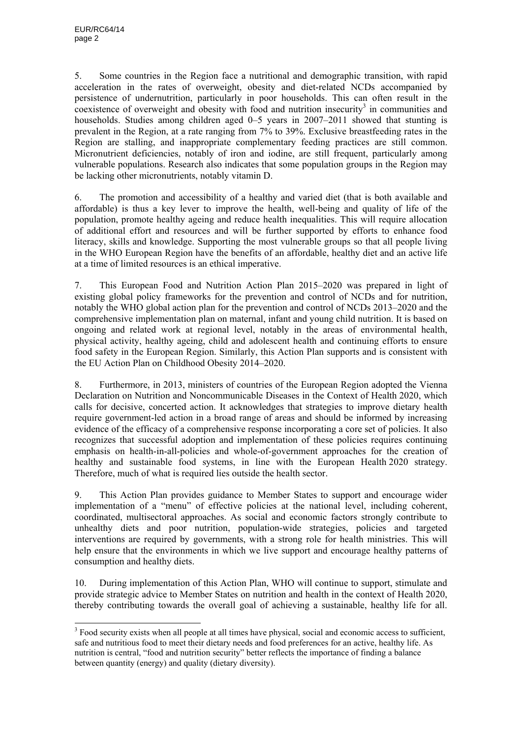1

5. Some countries in the Region face a nutritional and demographic transition, with rapid acceleration in the rates of overweight, obesity and diet-related NCDs accompanied by persistence of undernutrition, particularly in poor households. This can often result in the  $\alpha$  coexistence of overweight and obesity with food and nutrition insecurity<sup>3</sup> in communities and households. Studies among children aged 0–5 years in 2007–2011 showed that stunting is prevalent in the Region, at a rate ranging from 7% to 39%. Exclusive breastfeeding rates in the Region are stalling, and inappropriate complementary feeding practices are still common. Micronutrient deficiencies, notably of iron and iodine, are still frequent, particularly among vulnerable populations. Research also indicates that some population groups in the Region may be lacking other micronutrients, notably vitamin D.

6. The promotion and accessibility of a healthy and varied diet (that is both available and affordable) is thus a key lever to improve the health, well-being and quality of life of the population, promote healthy ageing and reduce health inequalities. This will require allocation of additional effort and resources and will be further supported by efforts to enhance food literacy, skills and knowledge. Supporting the most vulnerable groups so that all people living in the WHO European Region have the benefits of an affordable, healthy diet and an active life at a time of limited resources is an ethical imperative.

7. This European Food and Nutrition Action Plan 2015–2020 was prepared in light of existing global policy frameworks for the prevention and control of NCDs and for nutrition, notably the WHO global action plan for the prevention and control of NCDs 2013–2020 and the comprehensive implementation plan on maternal, infant and young child nutrition. It is based on ongoing and related work at regional level, notably in the areas of environmental health, physical activity, healthy ageing, child and adolescent health and continuing efforts to ensure food safety in the European Region. Similarly, this Action Plan supports and is consistent with the EU Action Plan on Childhood Obesity 2014–2020.

8. Furthermore, in 2013, ministers of countries of the European Region adopted the Vienna Declaration on Nutrition and Noncommunicable Diseases in the Context of Health 2020, which calls for decisive, concerted action. It acknowledges that strategies to improve dietary health require government-led action in a broad range of areas and should be informed by increasing evidence of the efficacy of a comprehensive response incorporating a core set of policies. It also recognizes that successful adoption and implementation of these policies requires continuing emphasis on health-in-all-policies and whole-of-government approaches for the creation of healthy and sustainable food systems, in line with the European Health 2020 strategy. Therefore, much of what is required lies outside the health sector.

9. This Action Plan provides guidance to Member States to support and encourage wider implementation of a "menu" of effective policies at the national level, including coherent, coordinated, multisectoral approaches. As social and economic factors strongly contribute to unhealthy diets and poor nutrition, population-wide strategies, policies and targeted interventions are required by governments, with a strong role for health ministries. This will help ensure that the environments in which we live support and encourage healthy patterns of consumption and healthy diets.

10. During implementation of this Action Plan, WHO will continue to support, stimulate and provide strategic advice to Member States on nutrition and health in the context of Health 2020, thereby contributing towards the overall goal of achieving a sustainable, healthy life for all.

<sup>&</sup>lt;sup>3</sup> Food security exists when all people at all times have physical, social and economic access to sufficient, safe and nutritious food to meet their dietary needs and food preferences for an active, healthy life. As nutrition is central, "food and nutrition security" better reflects the importance of finding a balance between quantity (energy) and quality (dietary diversity).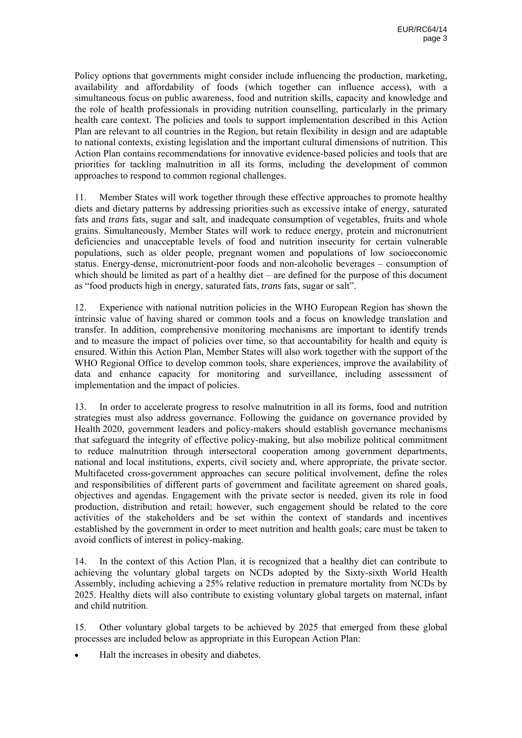Policy options that governments might consider include influencing the production, marketing, availability and affordability of foods (which together can influence access), with a simultaneous focus on public awareness, food and nutrition skills, capacity and knowledge and the role of health professionals in providing nutrition counselling, particularly in the primary health care context. The policies and tools to support implementation described in this Action Plan are relevant to all countries in the Region, but retain flexibility in design and are adaptable to national contexts, existing legislation and the important cultural dimensions of nutrition. This Action Plan contains recommendations for innovative evidence-based policies and tools that are priorities for tackling malnutrition in all its forms, including the development of common approaches to respond to common regional challenges.

11. Member States will work together through these effective approaches to promote healthy diets and dietary patterns by addressing priorities such as excessive intake of energy, saturated fats and *trans* fats, sugar and salt, and inadequate consumption of vegetables, fruits and whole grains. Simultaneously, Member States will work to reduce energy, protein and micronutrient deficiencies and unacceptable levels of food and nutrition insecurity for certain vulnerable populations, such as older people, pregnant women and populations of low socioeconomic status. Energy-dense, micronutrient-poor foods and non-alcoholic beverages – consumption of which should be limited as part of a healthy diet – are defined for the purpose of this document as "food products high in energy, saturated fats, *trans* fats, sugar or salt".

12. Experience with national nutrition policies in the WHO European Region has shown the intrinsic value of having shared or common tools and a focus on knowledge translation and transfer. In addition, comprehensive monitoring mechanisms are important to identify trends and to measure the impact of policies over time, so that accountability for health and equity is ensured. Within this Action Plan, Member States will also work together with the support of the WHO Regional Office to develop common tools, share experiences, improve the availability of data and enhance capacity for monitoring and surveillance, including assessment of implementation and the impact of policies.

13. In order to accelerate progress to resolve malnutrition in all its forms, food and nutrition strategies must also address governance. Following the guidance on governance provided by Health 2020, government leaders and policy-makers should establish governance mechanisms that safeguard the integrity of effective policy-making, but also mobilize political commitment to reduce malnutrition through intersectoral cooperation among government departments, national and local institutions, experts, civil society and, where appropriate, the private sector. Multifaceted cross-government approaches can secure political involvement, define the roles and responsibilities of different parts of government and facilitate agreement on shared goals, objectives and agendas. Engagement with the private sector is needed, given its role in food production, distribution and retail; however, such engagement should be related to the core activities of the stakeholders and be set within the context of standards and incentives established by the government in order to meet nutrition and health goals; care must be taken to avoid conflicts of interest in policy-making.

14. In the context of this Action Plan, it is recognized that a healthy diet can contribute to achieving the voluntary global targets on NCDs adopted by the Sixty-sixth World Health Assembly, including achieving a 25% relative reduction in premature mortality from NCDs by 2025. Healthy diets will also contribute to existing voluntary global targets on maternal, infant and child nutrition.

15. Other voluntary global targets to be achieved by 2025 that emerged from these global processes are included below as appropriate in this European Action Plan:

• Halt the increases in obesity and diabetes.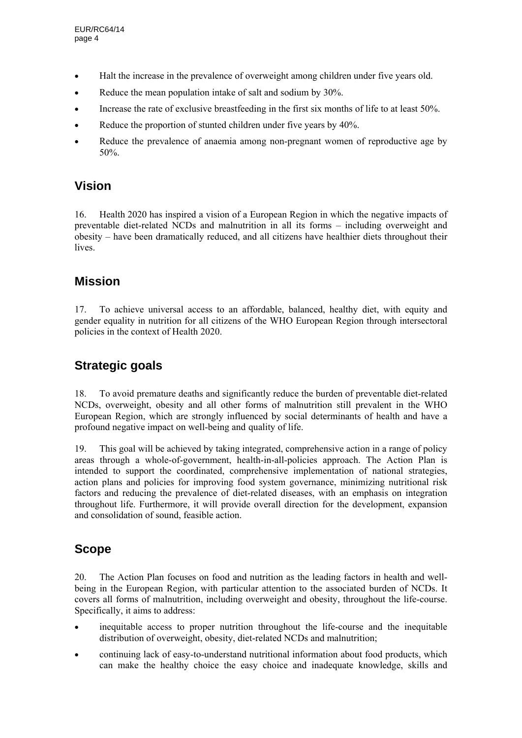- Halt the increase in the prevalence of overweight among children under five years old.
- Reduce the mean population intake of salt and sodium by 30%.
- Increase the rate of exclusive breastfeeding in the first six months of life to at least 50%.
- Reduce the proportion of stunted children under five years by 40%.
- Reduce the prevalence of anaemia among non-pregnant women of reproductive age by 50%.

## **Vision**

16. Health 2020 has inspired a vision of a European Region in which the negative impacts of preventable diet-related NCDs and malnutrition in all its forms – including overweight and obesity – have been dramatically reduced, and all citizens have healthier diets throughout their lives.

# **Mission**

17. To achieve universal access to an affordable, balanced, healthy diet, with equity and gender equality in nutrition for all citizens of the WHO European Region through intersectoral policies in the context of Health 2020.

# **Strategic goals**

18. To avoid premature deaths and significantly reduce the burden of preventable diet-related NCDs, overweight, obesity and all other forms of malnutrition still prevalent in the WHO European Region, which are strongly influenced by social determinants of health and have a profound negative impact on well-being and quality of life.

19. This goal will be achieved by taking integrated, comprehensive action in a range of policy areas through a whole-of-government, health-in-all-policies approach. The Action Plan is intended to support the coordinated, comprehensive implementation of national strategies, action plans and policies for improving food system governance, minimizing nutritional risk factors and reducing the prevalence of diet-related diseases, with an emphasis on integration throughout life. Furthermore, it will provide overall direction for the development, expansion and consolidation of sound, feasible action.

## **Scope**

20. The Action Plan focuses on food and nutrition as the leading factors in health and wellbeing in the European Region, with particular attention to the associated burden of NCDs. It covers all forms of malnutrition, including overweight and obesity, throughout the life-course. Specifically, it aims to address:

- inequitable access to proper nutrition throughout the life-course and the inequitable distribution of overweight, obesity, diet-related NCDs and malnutrition;
- continuing lack of easy-to-understand nutritional information about food products, which can make the healthy choice the easy choice and inadequate knowledge, skills and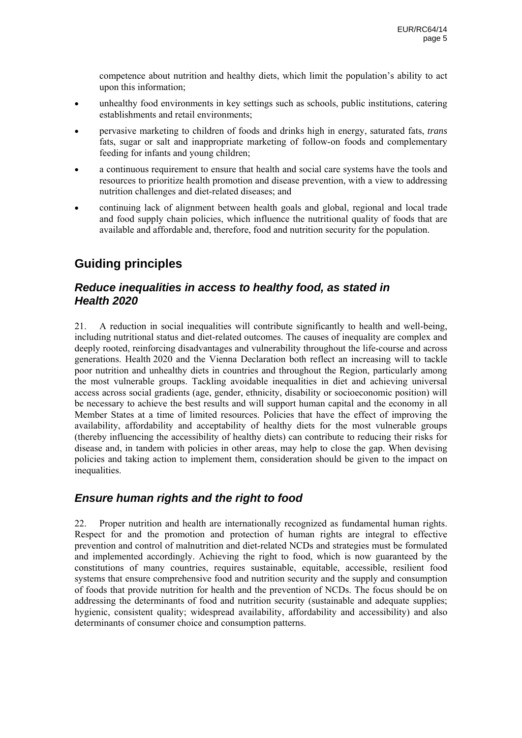competence about nutrition and healthy diets, which limit the population's ability to act upon this information;

- unhealthy food environments in key settings such as schools, public institutions, catering establishments and retail environments;
- pervasive marketing to children of foods and drinks high in energy, saturated fats, *trans*  fats, sugar or salt and inappropriate marketing of follow-on foods and complementary feeding for infants and young children;
- a continuous requirement to ensure that health and social care systems have the tools and resources to prioritize health promotion and disease prevention, with a view to addressing nutrition challenges and diet-related diseases; and
- continuing lack of alignment between health goals and global, regional and local trade and food supply chain policies, which influence the nutritional quality of foods that are available and affordable and, therefore, food and nutrition security for the population.

# **Guiding principles**

#### *Reduce inequalities in access to healthy food, as stated in Health 2020*

21. A reduction in social inequalities will contribute significantly to health and well-being, including nutritional status and diet-related outcomes. The causes of inequality are complex and deeply rooted, reinforcing disadvantages and vulnerability throughout the life-course and across generations. Health 2020 and the Vienna Declaration both reflect an increasing will to tackle poor nutrition and unhealthy diets in countries and throughout the Region, particularly among the most vulnerable groups. Tackling avoidable inequalities in diet and achieving universal access across social gradients (age, gender, ethnicity, disability or socioeconomic position) will be necessary to achieve the best results and will support human capital and the economy in all Member States at a time of limited resources. Policies that have the effect of improving the availability, affordability and acceptability of healthy diets for the most vulnerable groups (thereby influencing the accessibility of healthy diets) can contribute to reducing their risks for disease and, in tandem with policies in other areas, may help to close the gap. When devising policies and taking action to implement them, consideration should be given to the impact on inequalities.

#### *Ensure human rights and the right to food*

22. Proper nutrition and health are internationally recognized as fundamental human rights. Respect for and the promotion and protection of human rights are integral to effective prevention and control of malnutrition and diet-related NCDs and strategies must be formulated and implemented accordingly. Achieving the right to food, which is now guaranteed by the constitutions of many countries, requires sustainable, equitable, accessible, resilient food systems that ensure comprehensive food and nutrition security and the supply and consumption of foods that provide nutrition for health and the prevention of NCDs. The focus should be on addressing the determinants of food and nutrition security (sustainable and adequate supplies; hygienic, consistent quality; widespread availability, affordability and accessibility) and also determinants of consumer choice and consumption patterns.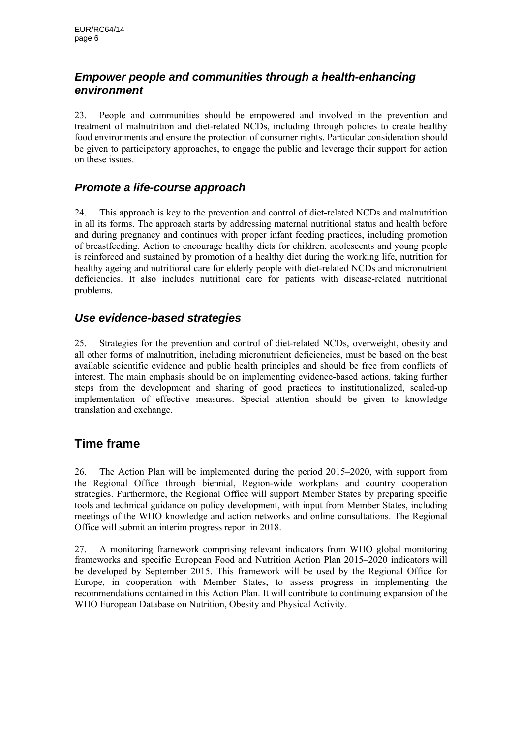## *Empower people and communities through a health-enhancing environment*

23. People and communities should be empowered and involved in the prevention and treatment of malnutrition and diet-related NCDs, including through policies to create healthy food environments and ensure the protection of consumer rights. Particular consideration should be given to participatory approaches, to engage the public and leverage their support for action on these issues.

#### *Promote a life-course approach*

24. This approach is key to the prevention and control of diet-related NCDs and malnutrition in all its forms. The approach starts by addressing maternal nutritional status and health before and during pregnancy and continues with proper infant feeding practices, including promotion of breastfeeding. Action to encourage healthy diets for children, adolescents and young people is reinforced and sustained by promotion of a healthy diet during the working life, nutrition for healthy ageing and nutritional care for elderly people with diet-related NCDs and micronutrient deficiencies. It also includes nutritional care for patients with disease-related nutritional problems.

## *Use evidence-based strategies*

25. Strategies for the prevention and control of diet-related NCDs, overweight, obesity and all other forms of malnutrition, including micronutrient deficiencies, must be based on the best available scientific evidence and public health principles and should be free from conflicts of interest. The main emphasis should be on implementing evidence-based actions, taking further steps from the development and sharing of good practices to institutionalized, scaled-up implementation of effective measures. Special attention should be given to knowledge translation and exchange.

## **Time frame**

26. The Action Plan will be implemented during the period 2015–2020, with support from the Regional Office through biennial, Region-wide workplans and country cooperation strategies. Furthermore, the Regional Office will support Member States by preparing specific tools and technical guidance on policy development, with input from Member States, including meetings of the WHO knowledge and action networks and online consultations. The Regional Office will submit an interim progress report in 2018.

27. A monitoring framework comprising relevant indicators from WHO global monitoring frameworks and specific European Food and Nutrition Action Plan 2015–2020 indicators will be developed by September 2015. This framework will be used by the Regional Office for Europe, in cooperation with Member States, to assess progress in implementing the recommendations contained in this Action Plan. It will contribute to continuing expansion of the WHO European Database on Nutrition, Obesity and Physical Activity.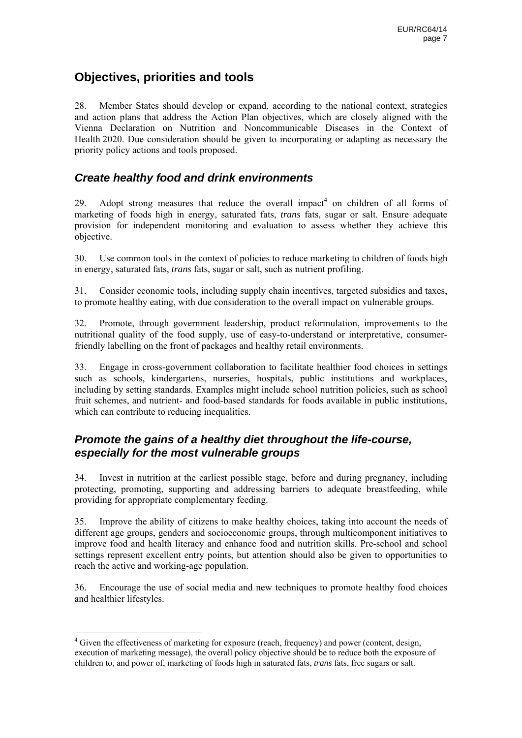## **Objectives, priorities and tools**

28. Member States should develop or expand, according to the national context, strategies and action plans that address the Action Plan objectives, which are closely aligned with the Vienna Declaration on Nutrition and Noncommunicable Diseases in the Context of Health 2020. Due consideration should be given to incorporating or adapting as necessary the priority policy actions and tools proposed.

#### *Create healthy food and drink environments*

29. Adopt strong measures that reduce the overall impact<sup>4</sup> on children of all forms of marketing of foods high in energy, saturated fats, *trans* fats, sugar or salt. Ensure adequate provision for independent monitoring and evaluation to assess whether they achieve this objective.

30. Use common tools in the context of policies to reduce marketing to children of foods high in energy, saturated fats, *trans* fats, sugar or salt, such as nutrient profiling.

31. Consider economic tools, including supply chain incentives, targeted subsidies and taxes, to promote healthy eating, with due consideration to the overall impact on vulnerable groups.

32. Promote, through government leadership, product reformulation, improvements to the nutritional quality of the food supply, use of easy-to-understand or interpretative, consumerfriendly labelling on the front of packages and healthy retail environments.

33. Engage in cross-government collaboration to facilitate healthier food choices in settings such as schools, kindergartens, nurseries, hospitals, public institutions and workplaces, including by setting standards. Examples might include school nutrition policies, such as school fruit schemes, and nutrient- and food-based standards for foods available in public institutions, which can contribute to reducing inequalities.

#### *Promote the gains of a healthy diet throughout the life-course, especially for the most vulnerable groups*

34. Invest in nutrition at the earliest possible stage, before and during pregnancy, including protecting, promoting, supporting and addressing barriers to adequate breastfeeding, while providing for appropriate complementary feeding.

35. Improve the ability of citizens to make healthy choices, taking into account the needs of different age groups, genders and socioeconomic groups, through multicomponent initiatives to improve food and health literacy and enhance food and nutrition skills. Pre-school and school settings represent excellent entry points, but attention should also be given to opportunities to reach the active and working-age population.

36. Encourage the use of social media and new techniques to promote healthy food choices and healthier lifestyles.

<sup>&</sup>lt;sup>4</sup> Given the effectiveness of marketing for exposure (reach, frequency) and power (content, design, execution of marketing message), the overall policy objective should be to reduce both the exposure of children to, and power of, marketing of foods high in saturated fats, *trans* fats, free sugars or salt.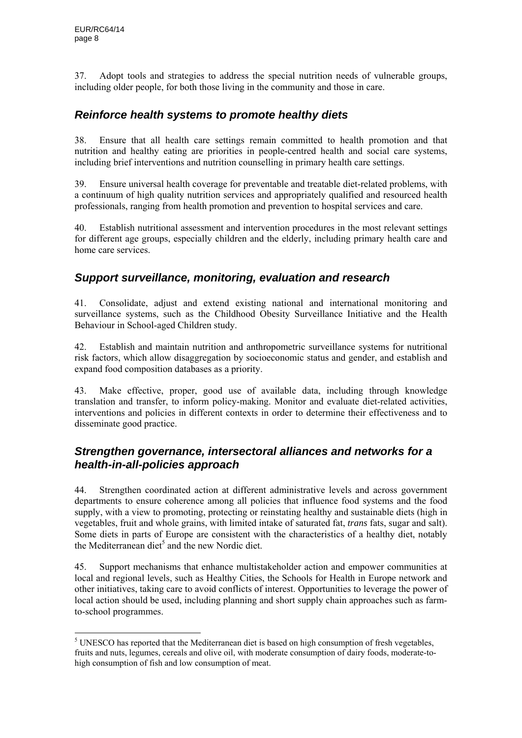37. Adopt tools and strategies to address the special nutrition needs of vulnerable groups, including older people, for both those living in the community and those in care.

#### *Reinforce health systems to promote healthy diets*

38. Ensure that all health care settings remain committed to health promotion and that nutrition and healthy eating are priorities in people-centred health and social care systems, including brief interventions and nutrition counselling in primary health care settings.

39. Ensure universal health coverage for preventable and treatable diet-related problems, with a continuum of high quality nutrition services and appropriately qualified and resourced health professionals, ranging from health promotion and prevention to hospital services and care.

40. Establish nutritional assessment and intervention procedures in the most relevant settings for different age groups, especially children and the elderly, including primary health care and home care services.

#### *Support surveillance, monitoring, evaluation and research*

41. Consolidate, adjust and extend existing national and international monitoring and surveillance systems, such as the Childhood Obesity Surveillance Initiative and the Health Behaviour in School-aged Children study.

42. Establish and maintain nutrition and anthropometric surveillance systems for nutritional risk factors, which allow disaggregation by socioeconomic status and gender, and establish and expand food composition databases as a priority.

43. Make effective, proper, good use of available data, including through knowledge translation and transfer, to inform policy-making. Monitor and evaluate diet-related activities, interventions and policies in different contexts in order to determine their effectiveness and to disseminate good practice.

## *Strengthen governance, intersectoral alliances and networks for a health-in-all-policies approach*

44. Strengthen coordinated action at different administrative levels and across government departments to ensure coherence among all policies that influence food systems and the food supply, with a view to promoting, protecting or reinstating healthy and sustainable diets (high in vegetables, fruit and whole grains, with limited intake of saturated fat, *trans* fats, sugar and salt). Some diets in parts of Europe are consistent with the characteristics of a healthy diet, notably the Mediterranean diet<sup>5</sup> and the new Nordic diet.

45. Support mechanisms that enhance multistakeholder action and empower communities at local and regional levels, such as Healthy Cities, the Schools for Health in Europe network and other initiatives, taking care to avoid conflicts of interest. Opportunities to leverage the power of local action should be used, including planning and short supply chain approaches such as farmto-school programmes.

<sup>&</sup>lt;sup>5</sup> UNESCO has reported that the Mediterranean diet is based on high consumption of fresh vegetables, fruits and nuts, legumes, cereals and olive oil, with moderate consumption of dairy foods, moderate-tohigh consumption of fish and low consumption of meat.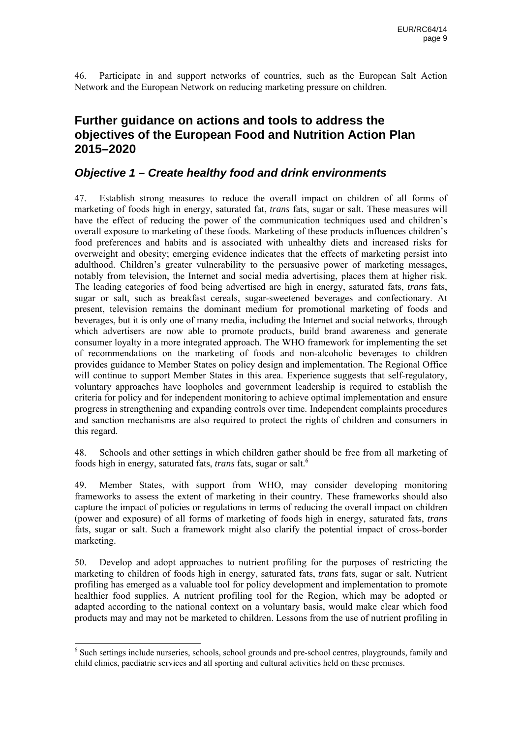46. Participate in and support networks of countries, such as the European Salt Action Network and the European Network on reducing marketing pressure on children.

## **Further guidance on actions and tools to address the objectives of the European Food and Nutrition Action Plan 2015–2020**

#### *Objective 1 – Create healthy food and drink environments*

47. Establish strong measures to reduce the overall impact on children of all forms of marketing of foods high in energy, saturated fat, *trans* fats, sugar or salt. These measures will have the effect of reducing the power of the communication techniques used and children's overall exposure to marketing of these foods. Marketing of these products influences children's food preferences and habits and is associated with unhealthy diets and increased risks for overweight and obesity; emerging evidence indicates that the effects of marketing persist into adulthood. Children's greater vulnerability to the persuasive power of marketing messages, notably from television, the Internet and social media advertising, places them at higher risk. The leading categories of food being advertised are high in energy, saturated fats, *trans* fats, sugar or salt, such as breakfast cereals, sugar-sweetened beverages and confectionary. At present, television remains the dominant medium for promotional marketing of foods and beverages, but it is only one of many media, including the Internet and social networks, through which advertisers are now able to promote products, build brand awareness and generate consumer loyalty in a more integrated approach. The WHO framework for implementing the set of recommendations on the marketing of foods and non-alcoholic beverages to children provides guidance to Member States on policy design and implementation. The Regional Office will continue to support Member States in this area. Experience suggests that self-regulatory, voluntary approaches have loopholes and government leadership is required to establish the criteria for policy and for independent monitoring to achieve optimal implementation and ensure progress in strengthening and expanding controls over time. Independent complaints procedures and sanction mechanisms are also required to protect the rights of children and consumers in this regard.

48. Schools and other settings in which children gather should be free from all marketing of foods high in energy, saturated fats, *trans* fats, sugar or salt.6

49. Member States, with support from WHO, may consider developing monitoring frameworks to assess the extent of marketing in their country. These frameworks should also capture the impact of policies or regulations in terms of reducing the overall impact on children (power and exposure) of all forms of marketing of foods high in energy, saturated fats, *trans*  fats, sugar or salt. Such a framework might also clarify the potential impact of cross-border marketing.

50. Develop and adopt approaches to nutrient profiling for the purposes of restricting the marketing to children of foods high in energy, saturated fats, *trans* fats, sugar or salt. Nutrient profiling has emerged as a valuable tool for policy development and implementation to promote healthier food supplies. A nutrient profiling tool for the Region, which may be adopted or adapted according to the national context on a voluntary basis, would make clear which food products may and may not be marketed to children. Lessons from the use of nutrient profiling in

1

<sup>&</sup>lt;sup>6</sup> Such settings include nurseries, schools, school grounds and pre-school centres, playgrounds, family and child clinics, paediatric services and all sporting and cultural activities held on these premises.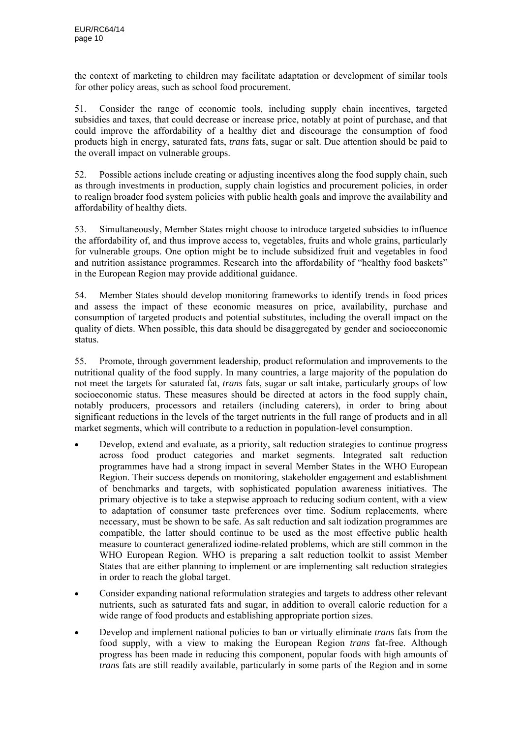the context of marketing to children may facilitate adaptation or development of similar tools for other policy areas, such as school food procurement.

51. Consider the range of economic tools, including supply chain incentives, targeted subsidies and taxes, that could decrease or increase price, notably at point of purchase, and that could improve the affordability of a healthy diet and discourage the consumption of food products high in energy, saturated fats, *trans* fats, sugar or salt. Due attention should be paid to the overall impact on vulnerable groups.

52. Possible actions include creating or adjusting incentives along the food supply chain, such as through investments in production, supply chain logistics and procurement policies, in order to realign broader food system policies with public health goals and improve the availability and affordability of healthy diets.

53. Simultaneously, Member States might choose to introduce targeted subsidies to influence the affordability of, and thus improve access to, vegetables, fruits and whole grains, particularly for vulnerable groups. One option might be to include subsidized fruit and vegetables in food and nutrition assistance programmes. Research into the affordability of "healthy food baskets" in the European Region may provide additional guidance.

54. Member States should develop monitoring frameworks to identify trends in food prices and assess the impact of these economic measures on price, availability, purchase and consumption of targeted products and potential substitutes, including the overall impact on the quality of diets. When possible, this data should be disaggregated by gender and socioeconomic status.

55. Promote, through government leadership, product reformulation and improvements to the nutritional quality of the food supply. In many countries, a large majority of the population do not meet the targets for saturated fat, *trans* fats, sugar or salt intake, particularly groups of low socioeconomic status. These measures should be directed at actors in the food supply chain, notably producers, processors and retailers (including caterers), in order to bring about significant reductions in the levels of the target nutrients in the full range of products and in all market segments, which will contribute to a reduction in population-level consumption.

- Develop, extend and evaluate, as a priority, salt reduction strategies to continue progress across food product categories and market segments. Integrated salt reduction programmes have had a strong impact in several Member States in the WHO European Region. Their success depends on monitoring, stakeholder engagement and establishment of benchmarks and targets, with sophisticated population awareness initiatives. The primary objective is to take a stepwise approach to reducing sodium content, with a view to adaptation of consumer taste preferences over time. Sodium replacements, where necessary, must be shown to be safe. As salt reduction and salt iodization programmes are compatible, the latter should continue to be used as the most effective public health measure to counteract generalized iodine-related problems, which are still common in the WHO European Region. WHO is preparing a salt reduction toolkit to assist Member States that are either planning to implement or are implementing salt reduction strategies in order to reach the global target.
- Consider expanding national reformulation strategies and targets to address other relevant nutrients, such as saturated fats and sugar, in addition to overall calorie reduction for a wide range of food products and establishing appropriate portion sizes.
- Develop and implement national policies to ban or virtually eliminate *trans* fats from the food supply, with a view to making the European Region *trans* fat-free. Although progress has been made in reducing this component, popular foods with high amounts of *trans* fats are still readily available, particularly in some parts of the Region and in some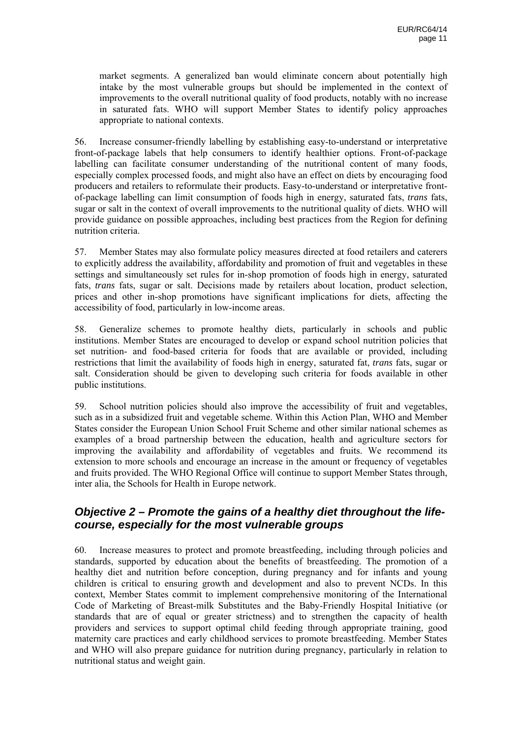market segments. A generalized ban would eliminate concern about potentially high intake by the most vulnerable groups but should be implemented in the context of improvements to the overall nutritional quality of food products, notably with no increase in saturated fats. WHO will support Member States to identify policy approaches appropriate to national contexts.

56. Increase consumer-friendly labelling by establishing easy-to-understand or interpretative front-of-package labels that help consumers to identify healthier options. Front-of-package labelling can facilitate consumer understanding of the nutritional content of many foods, especially complex processed foods, and might also have an effect on diets by encouraging food producers and retailers to reformulate their products. Easy-to-understand or interpretative frontof-package labelling can limit consumption of foods high in energy, saturated fats, *trans* fats, sugar or salt in the context of overall improvements to the nutritional quality of diets. WHO will provide guidance on possible approaches, including best practices from the Region for defining nutrition criteria.

57. Member States may also formulate policy measures directed at food retailers and caterers to explicitly address the availability, affordability and promotion of fruit and vegetables in these settings and simultaneously set rules for in-shop promotion of foods high in energy, saturated fats, *trans* fats, sugar or salt. Decisions made by retailers about location, product selection, prices and other in-shop promotions have significant implications for diets, affecting the accessibility of food, particularly in low-income areas.

58. Generalize schemes to promote healthy diets, particularly in schools and public institutions. Member States are encouraged to develop or expand school nutrition policies that set nutrition- and food-based criteria for foods that are available or provided, including restrictions that limit the availability of foods high in energy, saturated fat, *trans* fats, sugar or salt. Consideration should be given to developing such criteria for foods available in other public institutions.

59. School nutrition policies should also improve the accessibility of fruit and vegetables, such as in a subsidized fruit and vegetable scheme. Within this Action Plan, WHO and Member States consider the European Union School Fruit Scheme and other similar national schemes as examples of a broad partnership between the education, health and agriculture sectors for improving the availability and affordability of vegetables and fruits. We recommend its extension to more schools and encourage an increase in the amount or frequency of vegetables and fruits provided. The WHO Regional Office will continue to support Member States through, inter alia, the Schools for Health in Europe network.

#### *Objective 2 – Promote the gains of a healthy diet throughout the lifecourse, especially for the most vulnerable groups*

60. Increase measures to protect and promote breastfeeding, including through policies and standards, supported by education about the benefits of breastfeeding. The promotion of a healthy diet and nutrition before conception, during pregnancy and for infants and young children is critical to ensuring growth and development and also to prevent NCDs. In this context, Member States commit to implement comprehensive monitoring of the International Code of Marketing of Breast-milk Substitutes and the Baby-Friendly Hospital Initiative (or standards that are of equal or greater strictness) and to strengthen the capacity of health providers and services to support optimal child feeding through appropriate training, good maternity care practices and early childhood services to promote breastfeeding. Member States and WHO will also prepare guidance for nutrition during pregnancy, particularly in relation to nutritional status and weight gain.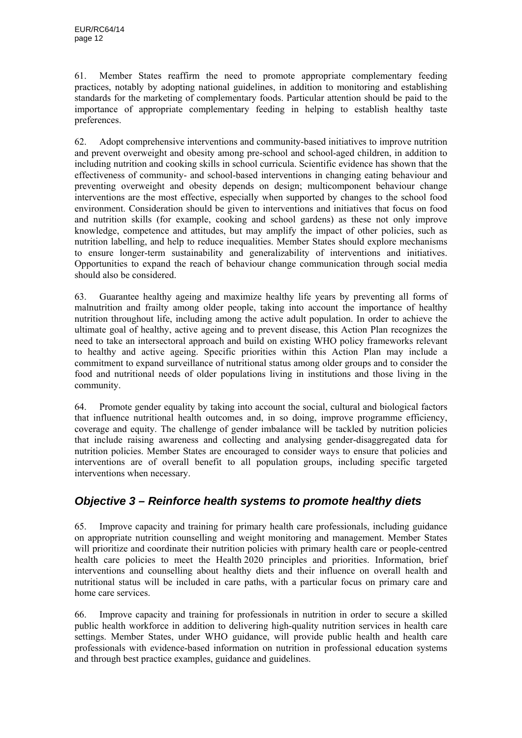61. Member States reaffirm the need to promote appropriate complementary feeding practices, notably by adopting national guidelines, in addition to monitoring and establishing standards for the marketing of complementary foods. Particular attention should be paid to the importance of appropriate complementary feeding in helping to establish healthy taste preferences.

62. Adopt comprehensive interventions and community-based initiatives to improve nutrition and prevent overweight and obesity among pre-school and school-aged children, in addition to including nutrition and cooking skills in school curricula. Scientific evidence has shown that the effectiveness of community- and school-based interventions in changing eating behaviour and preventing overweight and obesity depends on design; multicomponent behaviour change interventions are the most effective, especially when supported by changes to the school food environment. Consideration should be given to interventions and initiatives that focus on food and nutrition skills (for example, cooking and school gardens) as these not only improve knowledge, competence and attitudes, but may amplify the impact of other policies, such as nutrition labelling, and help to reduce inequalities. Member States should explore mechanisms to ensure longer-term sustainability and generalizability of interventions and initiatives. Opportunities to expand the reach of behaviour change communication through social media should also be considered.

63. Guarantee healthy ageing and maximize healthy life years by preventing all forms of malnutrition and frailty among older people, taking into account the importance of healthy nutrition throughout life, including among the active adult population. In order to achieve the ultimate goal of healthy, active ageing and to prevent disease, this Action Plan recognizes the need to take an intersectoral approach and build on existing WHO policy frameworks relevant to healthy and active ageing. Specific priorities within this Action Plan may include a commitment to expand surveillance of nutritional status among older groups and to consider the food and nutritional needs of older populations living in institutions and those living in the community.

64. Promote gender equality by taking into account the social, cultural and biological factors that influence nutritional health outcomes and, in so doing, improve programme efficiency, coverage and equity. The challenge of gender imbalance will be tackled by nutrition policies that include raising awareness and collecting and analysing gender-disaggregated data for nutrition policies. Member States are encouraged to consider ways to ensure that policies and interventions are of overall benefit to all population groups, including specific targeted interventions when necessary.

## *Objective 3 – Reinforce health systems to promote healthy diets*

65. Improve capacity and training for primary health care professionals, including guidance on appropriate nutrition counselling and weight monitoring and management. Member States will prioritize and coordinate their nutrition policies with primary health care or people-centred health care policies to meet the Health 2020 principles and priorities. Information, brief interventions and counselling about healthy diets and their influence on overall health and nutritional status will be included in care paths, with a particular focus on primary care and home care services.

66. Improve capacity and training for professionals in nutrition in order to secure a skilled public health workforce in addition to delivering high-quality nutrition services in health care settings. Member States, under WHO guidance, will provide public health and health care professionals with evidence-based information on nutrition in professional education systems and through best practice examples, guidance and guidelines.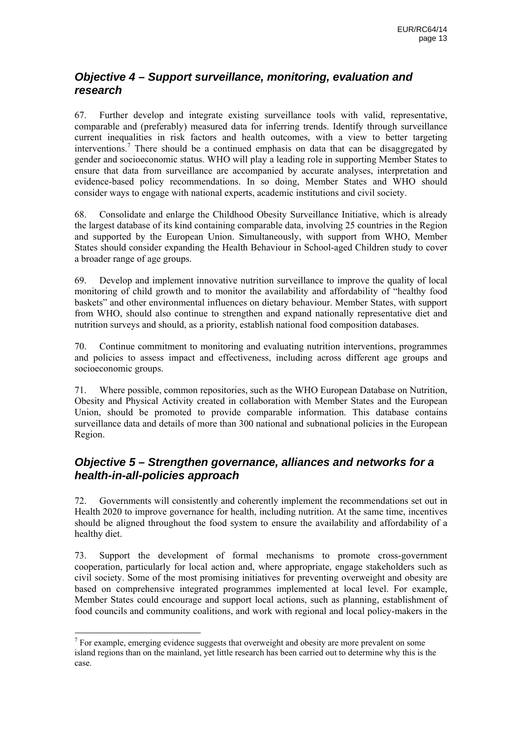## *Objective 4 – Support surveillance, monitoring, evaluation and research*

67. Further develop and integrate existing surveillance tools with valid, representative, comparable and (preferably) measured data for inferring trends. Identify through surveillance current inequalities in risk factors and health outcomes, with a view to better targeting interventions.<sup>7</sup> There should be a continued emphasis on data that can be disaggregated by gender and socioeconomic status. WHO will play a leading role in supporting Member States to ensure that data from surveillance are accompanied by accurate analyses, interpretation and evidence-based policy recommendations. In so doing, Member States and WHO should consider ways to engage with national experts, academic institutions and civil society.

68. Consolidate and enlarge the Childhood Obesity Surveillance Initiative, which is already the largest database of its kind containing comparable data, involving 25 countries in the Region and supported by the European Union. Simultaneously, with support from WHO, Member States should consider expanding the Health Behaviour in School-aged Children study to cover a broader range of age groups.

69. Develop and implement innovative nutrition surveillance to improve the quality of local monitoring of child growth and to monitor the availability and affordability of "healthy food baskets" and other environmental influences on dietary behaviour. Member States, with support from WHO, should also continue to strengthen and expand nationally representative diet and nutrition surveys and should, as a priority, establish national food composition databases.

70. Continue commitment to monitoring and evaluating nutrition interventions, programmes and policies to assess impact and effectiveness, including across different age groups and socioeconomic groups.

71. Where possible, common repositories, such as the WHO European Database on Nutrition, Obesity and Physical Activity created in collaboration with Member States and the European Union, should be promoted to provide comparable information. This database contains surveillance data and details of more than 300 national and subnational policies in the European Region.

## *Objective 5 – Strengthen governance, alliances and networks for a health-in-all-policies approach*

72. Governments will consistently and coherently implement the recommendations set out in Health 2020 to improve governance for health, including nutrition. At the same time, incentives should be aligned throughout the food system to ensure the availability and affordability of a healthy diet.

73. Support the development of formal mechanisms to promote cross-government cooperation, particularly for local action and, where appropriate, engage stakeholders such as civil society. Some of the most promising initiatives for preventing overweight and obesity are based on comprehensive integrated programmes implemented at local level. For example, Member States could encourage and support local actions, such as planning, establishment of food councils and community coalitions, and work with regional and local policy-makers in the

The state of the state of the state of the state of the state of the state of the state of the state of the state of the state of the state of the state of the state of the state of the state of the state of the state of t island regions than on the mainland, yet little research has been carried out to determine why this is the case.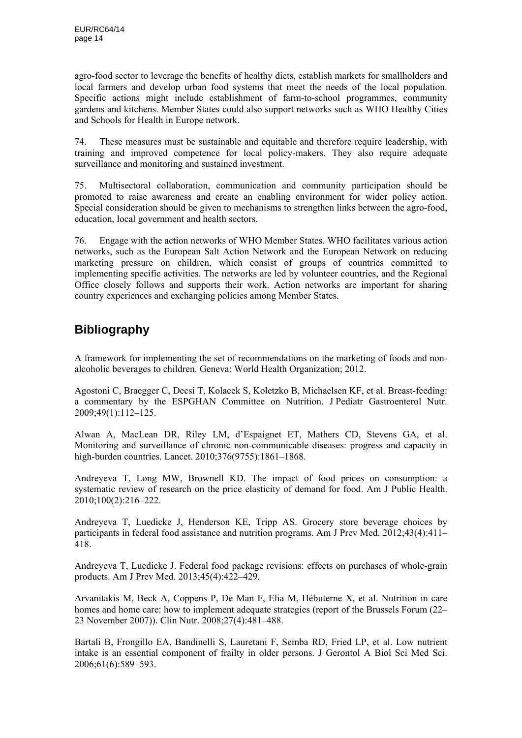agro-food sector to leverage the benefits of healthy diets, establish markets for smallholders and local farmers and develop urban food systems that meet the needs of the local population. Specific actions might include establishment of farm-to-school programmes, community gardens and kitchens. Member States could also support networks such as WHO Healthy Cities and Schools for Health in Europe network.

74. These measures must be sustainable and equitable and therefore require leadership, with training and improved competence for local policy-makers. They also require adequate surveillance and monitoring and sustained investment.

75. Multisectoral collaboration, communication and community participation should be promoted to raise awareness and create an enabling environment for wider policy action. Special consideration should be given to mechanisms to strengthen links between the agro-food, education, local government and health sectors.

76. Engage with the action networks of WHO Member States. WHO facilitates various action networks, such as the European Salt Action Network and the European Network on reducing marketing pressure on children, which consist of groups of countries committed to implementing specific activities. The networks are led by volunteer countries, and the Regional Office closely follows and supports their work. Action networks are important for sharing country experiences and exchanging policies among Member States.

# **Bibliography**

A framework for implementing the set of recommendations on the marketing of foods and nonalcoholic beverages to children. Geneva: World Health Organization; 2012.

Agostoni C, Braegger C, Decsi T, Kolacek S, Koletzko B, Michaelsen KF, et al. Breast-feeding: a commentary by the ESPGHAN Committee on Nutrition. J Pediatr Gastroenterol Nutr. 2009;49(1):112–125.

Alwan A, MacLean DR, Riley LM, d'Espaignet ET, Mathers CD, Stevens GA, et al. Monitoring and surveillance of chronic non-communicable diseases: progress and capacity in high-burden countries. Lancet. 2010;376(9755):1861–1868.

Andreyeva T, Long MW, Brownell KD. The impact of food prices on consumption: a systematic review of research on the price elasticity of demand for food. Am J Public Health. 2010;100(2):216–222.

Andreyeva T, Luedicke J, Henderson KE, Tripp AS. Grocery store beverage choices by participants in federal food assistance and nutrition programs. Am J Prev Med. 2012;43(4):411– 418.

Andreyeva T, Luedicke J. Federal food package revisions: effects on purchases of whole-grain products. Am J Prev Med. 2013;45(4):422–429.

Arvanitakis M, Beck A, Coppens P, De Man F, Elia M, Hébuterne X, et al. Nutrition in care homes and home care: how to implement adequate strategies (report of the Brussels Forum (22– 23 November 2007)). Clin Nutr. 2008;27(4):481–488.

Bartali B, Frongillo EA, Bandinelli S, Lauretani F, Semba RD, Fried LP, et al. Low nutrient intake is an essential component of frailty in older persons. J Gerontol A Biol Sci Med Sci. 2006;61(6):589–593.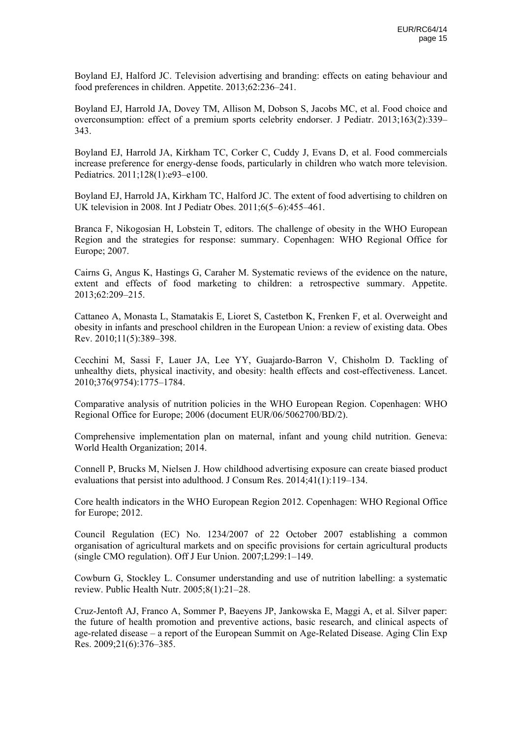Boyland EJ, Halford JC. Television advertising and branding: effects on eating behaviour and food preferences in children. Appetite. 2013;62:236–241.

Boyland EJ, Harrold JA, Dovey TM, Allison M, Dobson S, Jacobs MC, et al. Food choice and overconsumption: effect of a premium sports celebrity endorser. J Pediatr. 2013;163(2):339– 343.

Boyland EJ, Harrold JA, Kirkham TC, Corker C, Cuddy J, Evans D, et al. Food commercials increase preference for energy-dense foods, particularly in children who watch more television. Pediatrics. 2011;128(1):e93–e100.

Boyland EJ, Harrold JA, Kirkham TC, Halford JC. The extent of food advertising to children on UK television in 2008. Int J Pediatr Obes. 2011;6(5–6):455–461.

Branca F, Nikogosian H, Lobstein T, editors. The challenge of obesity in the WHO European Region and the strategies for response: summary. Copenhagen: WHO Regional Office for Europe; 2007.

Cairns G, Angus K, Hastings G, Caraher M. Systematic reviews of the evidence on the nature, extent and effects of food marketing to children: a retrospective summary. Appetite. 2013;62:209–215.

Cattaneo A, Monasta L, Stamatakis E, Lioret S, Castetbon K, Frenken F, et al. Overweight and obesity in infants and preschool children in the European Union: a review of existing data. Obes Rev. 2010;11(5):389–398.

Cecchini M, Sassi F, Lauer JA, Lee YY, Guajardo-Barron V, Chisholm D. Tackling of unhealthy diets, physical inactivity, and obesity: health effects and cost-effectiveness. Lancet. 2010;376(9754):1775–1784.

Comparative analysis of nutrition policies in the WHO European Region. Copenhagen: WHO Regional Office for Europe; 2006 (document EUR/06/5062700/BD/2).

Comprehensive implementation plan on maternal, infant and young child nutrition. Geneva: World Health Organization; 2014.

Connell P, Brucks M, Nielsen J. How childhood advertising exposure can create biased product evaluations that persist into adulthood. J Consum Res. 2014;41(1):119–134.

Core health indicators in the WHO European Region 2012. Copenhagen: WHO Regional Office for Europe; 2012.

Council Regulation (EC) No. 1234/2007 of 22 October 2007 establishing a common organisation of agricultural markets and on specific provisions for certain agricultural products (single CMO regulation). Off J Eur Union. 2007;L299:1–149.

Cowburn G, Stockley L. Consumer understanding and use of nutrition labelling: a systematic review. Public Health Nutr. 2005;8(1):21–28.

Cruz-Jentoft AJ, Franco A, Sommer P, Baeyens JP, Jankowska E, Maggi A, et al. Silver paper: the future of health promotion and preventive actions, basic research, and clinical aspects of age-related disease – a report of the European Summit on Age-Related Disease. Aging Clin Exp Res. 2009;21(6):376–385.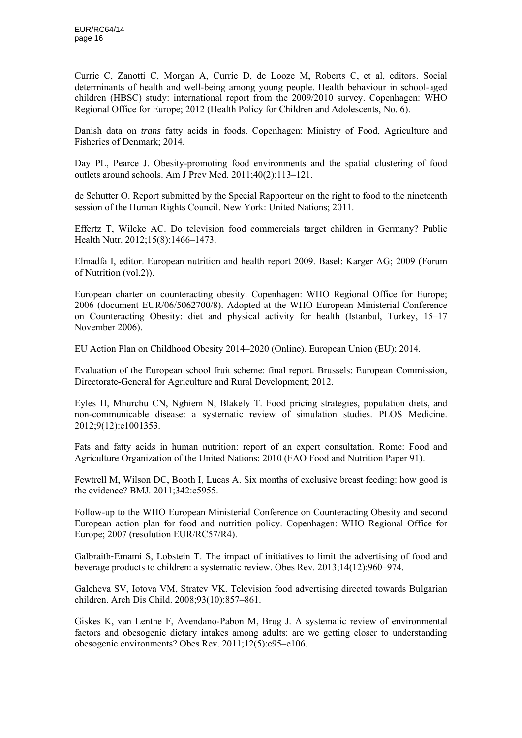Currie C, Zanotti C, Morgan A, Currie D, de Looze M, Roberts C, et al, editors. Social determinants of health and well-being among young people. Health behaviour in school-aged children (HBSC) study: international report from the 2009/2010 survey. Copenhagen: WHO Regional Office for Europe; 2012 (Health Policy for Children and Adolescents, No. 6).

Danish data on *trans* fatty acids in foods. Copenhagen: Ministry of Food, Agriculture and Fisheries of Denmark; 2014.

Day PL, Pearce J. Obesity-promoting food environments and the spatial clustering of food outlets around schools. Am J Prev Med. 2011;40(2):113–121.

de Schutter O. Report submitted by the Special Rapporteur on the right to food to the nineteenth session of the Human Rights Council. New York: United Nations; 2011.

Effertz T, Wilcke AC. Do television food commercials target children in Germany? Public Health Nutr. 2012;15(8):1466–1473.

Elmadfa I, editor. European nutrition and health report 2009. Basel: Karger AG; 2009 (Forum of Nutrition (vol.2)).

European charter on counteracting obesity. Copenhagen: WHO Regional Office for Europe; 2006 (document EUR/06/5062700/8). Adopted at the WHO European Ministerial Conference on Counteracting Obesity: diet and physical activity for health (Istanbul, Turkey, 15–17 November 2006).

EU Action Plan on Childhood Obesity 2014–2020 (Online). European Union (EU); 2014.

Evaluation of the European school fruit scheme: final report. Brussels: European Commission, Directorate-General for Agriculture and Rural Development; 2012.

Eyles H, Mhurchu CN, Nghiem N, Blakely T. Food pricing strategies, population diets, and non-communicable disease: a systematic review of simulation studies. PLOS Medicine. 2012;9(12):e1001353.

Fats and fatty acids in human nutrition: report of an expert consultation. Rome: Food and Agriculture Organization of the United Nations; 2010 (FAO Food and Nutrition Paper 91).

Fewtrell M, Wilson DC, Booth I, Lucas A. Six months of exclusive breast feeding: how good is the evidence? BMJ. 2011;342:c5955.

Follow-up to the WHO European Ministerial Conference on Counteracting Obesity and second European action plan for food and nutrition policy. Copenhagen: WHO Regional Office for Europe; 2007 (resolution EUR/RC57/R4).

Galbraith–Emami S, Lobstein T. The impact of initiatives to limit the advertising of food and beverage products to children: a systematic review. Obes Rev. 2013;14(12):960–974.

Galcheva SV, Iotova VM, Stratev VK. Television food advertising directed towards Bulgarian children. Arch Dis Child. 2008;93(10):857–861.

Giskes K, van Lenthe F, Avendano-Pabon M, Brug J. A systematic review of environmental factors and obesogenic dietary intakes among adults: are we getting closer to understanding obesogenic environments? Obes Rev. 2011;12(5):e95–e106.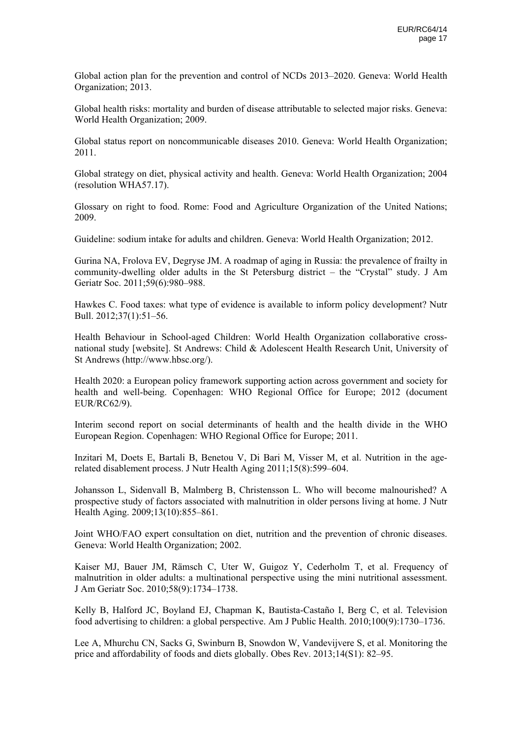Global action plan for the prevention and control of NCDs 2013–2020. Geneva: World Health Organization; 2013.

Global health risks: mortality and burden of disease attributable to selected major risks. Geneva: World Health Organization; 2009.

Global status report on noncommunicable diseases 2010. Geneva: World Health Organization; 2011.

Global strategy on diet, physical activity and health. Geneva: World Health Organization; 2004 (resolution WHA57.17).

Glossary on right to food. Rome: Food and Agriculture Organization of the United Nations; 2009.

Guideline: sodium intake for adults and children. Geneva: World Health Organization; 2012.

Gurina NA, Frolova EV, Degryse JM. A roadmap of aging in Russia: the prevalence of frailty in community-dwelling older adults in the St Petersburg district – the "Crystal" study. J Am Geriatr Soc. 2011;59(6):980–988.

Hawkes C. Food taxes: what type of evidence is available to inform policy development? Nutr Bull. 2012;37(1):51–56.

Health Behaviour in School-aged Children: World Health Organization collaborative crossnational study [website]. St Andrews: Child & Adolescent Health Research Unit, University of St Andrews (http://www.hbsc.org/).

Health 2020: a European policy framework supporting action across government and society for health and well-being. Copenhagen: WHO Regional Office for Europe; 2012 (document EUR/RC62/9).

Interim second report on social determinants of health and the health divide in the WHO European Region. Copenhagen: WHO Regional Office for Europe; 2011.

Inzitari M, Doets E, Bartali B, Benetou V, Di Bari M, Visser M, et al. Nutrition in the agerelated disablement process. J Nutr Health Aging 2011;15(8):599–604.

Johansson L, Sidenvall B, Malmberg B, Christensson L. Who will become malnourished? A prospective study of factors associated with malnutrition in older persons living at home. J Nutr Health Aging. 2009;13(10):855–861.

Joint WHO/FAO expert consultation on diet, nutrition and the prevention of chronic diseases. Geneva: World Health Organization; 2002.

Kaiser MJ, Bauer JM, Rämsch C, Uter W, Guigoz Y, Cederholm T, et al. Frequency of malnutrition in older adults: a multinational perspective using the mini nutritional assessment. J Am Geriatr Soc. 2010;58(9):1734–1738.

Kelly B, Halford JC, Boyland EJ, Chapman K, Bautista-Castaño I, Berg C, et al. Television food advertising to children: a global perspective. Am J Public Health. 2010;100(9):1730–1736.

Lee A, Mhurchu CN, Sacks G, Swinburn B, Snowdon W, Vandevijvere S, et al. Monitoring the price and affordability of foods and diets globally. Obes Rev. 2013;14(S1): 82–95.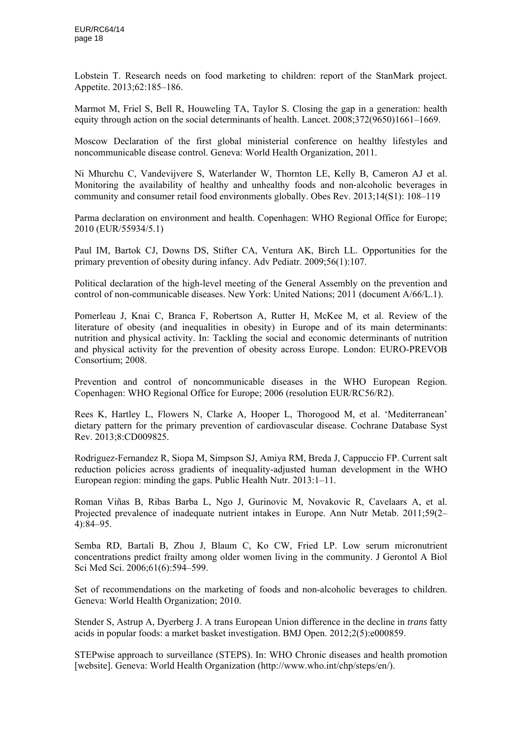Lobstein T. Research needs on food marketing to children: report of the StanMark project. Appetite. 2013;62:185–186.

Marmot M, Friel S, Bell R, Houweling TA, Taylor S. Closing the gap in a generation: health equity through action on the social determinants of health. Lancet. 2008;372(9650)1661–1669.

Moscow Declaration of the first global ministerial conference on healthy lifestyles and noncommunicable disease control. Geneva: World Health Organization, 2011.

Ni Mhurchu C, Vandevijvere S, Waterlander W, Thornton LE, Kelly B, Cameron AJ et al. Monitoring the availability of healthy and unhealthy foods and non‐alcoholic beverages in community and consumer retail food environments globally. Obes Rev. 2013;14(S1): 108–119

Parma declaration on environment and health. Copenhagen: WHO Regional Office for Europe; 2010 (EUR/55934/5.1)

Paul IM, Bartok CJ, Downs DS, Stifter CA, Ventura AK, Birch LL. Opportunities for the primary prevention of obesity during infancy. Adv Pediatr. 2009;56(1):107.

Political declaration of the high-level meeting of the General Assembly on the prevention and control of non-communicable diseases. New York: United Nations; 2011 (document A/66/L.1).

Pomerleau J, Knai C, Branca F, Robertson A, Rutter H, McKee M, et al. Review of the literature of obesity (and inequalities in obesity) in Europe and of its main determinants: nutrition and physical activity. In: Tackling the social and economic determinants of nutrition and physical activity for the prevention of obesity across Europe. London: EURO-PREVOB Consortium; 2008.

Prevention and control of noncommunicable diseases in the WHO European Region. Copenhagen: WHO Regional Office for Europe; 2006 (resolution EUR/RC56/R2).

Rees K, Hartley L, Flowers N, Clarke A, Hooper L, Thorogood M, et al. 'Mediterranean' dietary pattern for the primary prevention of cardiovascular disease. Cochrane Database Syst Rev. 2013;8:CD009825.

Rodriguez-Fernandez R, Siopa M, Simpson SJ, Amiya RM, Breda J, Cappuccio FP. Current salt reduction policies across gradients of inequality-adjusted human development in the WHO European region: minding the gaps. Public Health Nutr. 2013:1–11.

Roman Viñas B, Ribas Barba L, Ngo J, Gurinovic M, Novakovic R, Cavelaars A, et al. Projected prevalence of inadequate nutrient intakes in Europe. Ann Nutr Metab. 2011;59(2– 4):84–95.

Semba RD, Bartali B, Zhou J, Blaum C, Ko CW, Fried LP. Low serum micronutrient concentrations predict frailty among older women living in the community. J Gerontol A Biol Sci Med Sci. 2006;61(6):594–599.

Set of recommendations on the marketing of foods and non-alcoholic beverages to children. Geneva: World Health Organization; 2010.

Stender S, Astrup A, Dyerberg J. A trans European Union difference in the decline in *trans* fatty acids in popular foods: a market basket investigation. BMJ Open. 2012;2(5):e000859.

STEPwise approach to surveillance (STEPS). In: WHO Chronic diseases and health promotion [website]. Geneva: World Health Organization (http://www.who.int/chp/steps/en/).